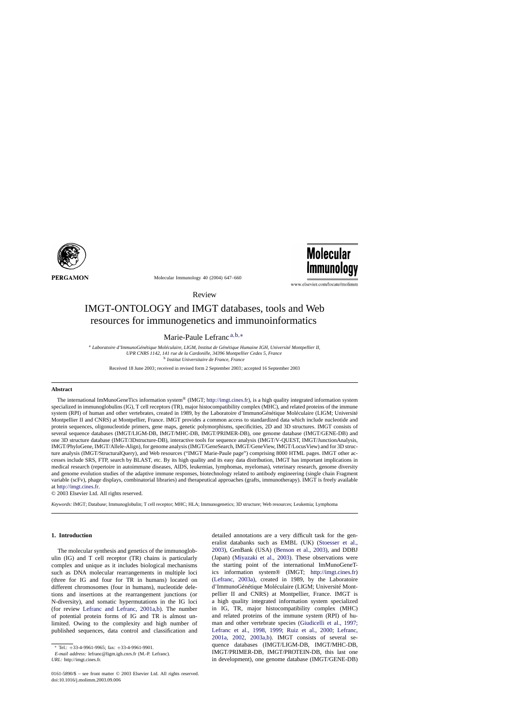



Molecular Immunology 40 (2004) 647–660

www.elsevier.com/locate/molimm

# Review

# IMGT-ONTOLOGY and IMGT databases, tools and Web resources for immunogenetics and immunoinformatics

Marie-Paule Lefranc <sup>a</sup>,b,<sup>∗</sup>

<sup>a</sup> *Laboratoire d'ImmunoGénétique Moléculaire, LIGM, Institut de Génétique Humaine IGH, Université Montpellier II, UPR CNRS 1142, 141 rue de la Cardonille, 34396 Montpellier Cedex 5, France* <sup>b</sup> *Institut Universitaire de France, France*

Received 18 June 2003; received in revised form 2 September 2003; accepted 16 September 2003

#### **Abstract**

The international ImMunoGeneTics information system® (IMGT; [http://imgt.cines.fr\)](http://imgt.cines.fr), is a high quality integrated information system specialized in immunoglobulins (IG), T cell receptors (TR), major histocompatibility complex (MHC), and related proteins of the immune system (RPI) of human and other vertebrates, created in 1989, by the Laboratoire d'ImmunoGénétique Moléculaire (LIGM; Université Montpellier II and CNRS) at Montpellier, France. IMGT provides a common access to standardized data which include nucleotide and protein sequences, oligonucleotide primers, gene maps, genetic polymorphisms, specificities, 2D and 3D structures. IMGT consists of several sequence databases (IMGT/LIGM-DB, IMGT/MHC-DB, IMGT/PRIMER-DB), one genome database (IMGT/GENE-DB) and one 3D structure database (IMGT/3Dstructure-DB), interactive tools for sequence analysis (IMGT/V-QUEST, IMGT/JunctionAnalysis, IMGT/PhyloGene, IMGT/Allele-Align), for genome analysis (IMGT/GeneSearch, IMGT/GeneView, IMGT/LocusView) and for 3D structure analysis (IMGT/StructuralQuery), and Web resources ("IMGT Marie-Paule page") comprising 8000 HTML pages. IMGT other accesses include SRS, FTP, search by BLAST, etc. By its high quality and its easy data distribution, IMGT has important implications in medical research (repertoire in autoimmune diseases, AIDS, leukemias, lymphomas, myelomas), veterinary research, genome diversity and genome evolution studies of the adaptive immune responses, biotechnology related to antibody engineering (single chain Fragment variable (scFv), phage displays, combinatorial libraries) and therapeutical approaches (grafts, immunotherapy). IMGT is freely available at <http://imgt.cines.fr>.

© 2003 Elsevier Ltd. All rights reserved.

*Keywords:* IMGT; Database; Immunoglobulin; T cell receptor; MHC; HLA; Immunogenetics; 3D structure; Web resources; Leukemia; Lymphoma

# **1. Introduction**

The molecular synthesis and genetics of the immunoglobulin (IG) and T cell receptor (TR) chains is particularly complex and unique as it includes biological mechanisms such as DNA molecular rearrangements in multiple loci (three for IG and four for TR in humans) located on different chromosomes (four in humans), nucleotide deletions and insertions at the rearrangement junctions (or N-diversity), and somatic hypermutations in the IG loci (for review [Lefranc and Lefranc, 2001a,b](#page-12-0)). The number of potential protein forms of IG and TR is almost unlimited. Owing to the complexity and high number of published sequences, data control and classification and

*E-mail address:* lefranc@ligm.igh.cnrs.fr (M.-P. Lefranc).

*URL:* http://imgt.cines.fr.

detailed annotations are a very difficult task for the generalist databanks such as EMBL (UK) ([Stoesser et al.,](#page-13-0) [2003\),](#page-13-0) GenBank (USA) [\(Benson et al., 2003\)](#page-11-0), and DDBJ (Japan) [\(Miyazaki et al., 2003\)](#page-12-0). These observations were the starting point of the international ImMunoGeneTics information system® (IMGT; <http://imgt.cines.fr>) ([Lefranc, 2003a\)](#page-12-0), created in 1989, by the Laboratoire d'ImmunoGénétique Moléculaire (LIGM; Université Montpellier II and CNRS) at Montpellier, France. IMGT is a high quality integrated information system specialized in IG, TR, major histocompatibility complex (MHC) and related proteins of the immune system (RPI) of human and other vertebrate species [\(Giudicelli et al., 1997;](#page-12-0) [Lefranc et al., 1998, 1999; Ruiz et al., 20](#page-12-0)00; [Lefranc,](#page-12-0) [2001a, 2002, 2003a,b](#page-12-0)). IMGT consists of several sequence databases (IMGT/LIGM-DB, IMGT/MHC-DB, IMGT/PRIMER-DB, IMGT/PROTEIN-DB, this last one in development), one genome database (IMGT/GENE-DB)

<sup>∗</sup> Tel.: +33-4-9961-9965; fax: +33-4-9961-9901.

<sup>0161-5890/\$ –</sup> see front matter © 2003 Elsevier Ltd. All rights reserved. doi:10.1016/j.molimm.2003.09.006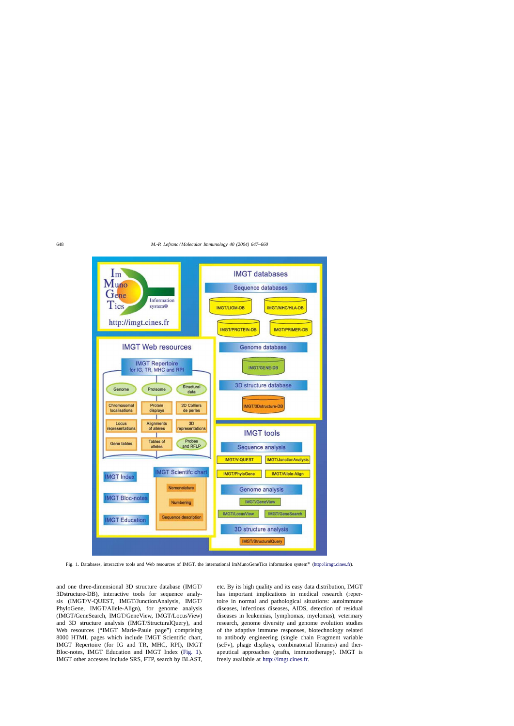

Fig. 1. Databases, interactive tools and Web resources of IMGT, the international ImMunoGeneTics information system® ([http:/lirngt.cines.fr](http://http:/lirngt.cines.fr)).

and one three-dimensional 3D structure database (IMGT/ 3Dstructure-DB), interactive tools for sequence analysis (IMGT/V-QUEST, IMGT/JunctionAnalysis, IMGT/ PhyloGene, IMGT/Allele-Align), for genome analysis (IMGT/GeneSearch, IMGT/GeneView, IMGT/LocusView) and 3D structure analysis (IMGT/StructuralQuery), and Web resources ("IMGT Marie-Paule page") comprising 8000 HTML pages which include IMGT Scientific chart, IMGT Repertoire (for IG and TR, MHC, RPI), IMGT Bloc-notes, IMGT Education and IMGT Index (Fig. 1). IMGT other accesses include SRS, FTP, search by BLAST, etc. By its high quality and its easy data distribution, IMGT has important implications in medical research (repertoire in normal and pathological situations: autoimmune diseases, infectious diseases, AIDS, detection of residual diseases in leukemias, lymphomas, myelomas), veterinary research, genome diversity and genome evolution studies of the adaptive immune responses, biotechnology related to antibody engineering (single chain Fragment variable (scFv), phage displays, combinatorial libraries) and therapeutical approaches (grafts, immunotherapy). IMGT is freely available at [http://imgt.cines.fr.](http://imgt.cines.fr)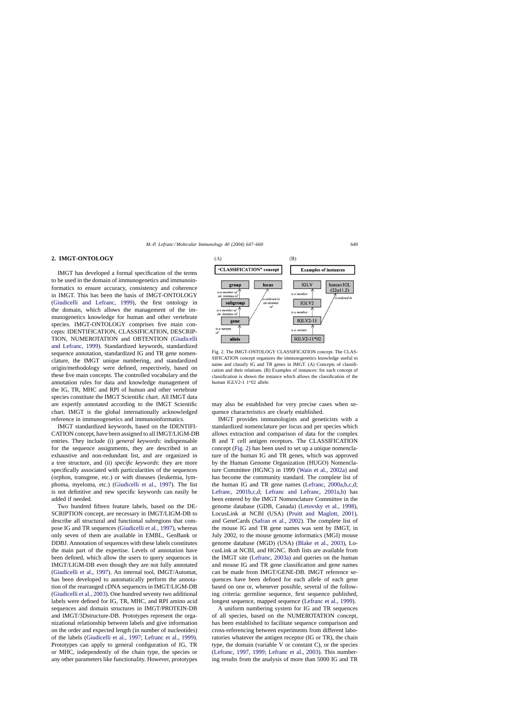## **2. IMGT-ONTOLOGY**

IMGT has developed a formal specification of the terms to be used in the domain of immunogenetics and immunoinformatics to ensure accuracy, consistency and coherence in IMGT. This has been the basis of IMGT-ONTOLOGY ([Giudicelli and Lefranc, 199](#page-12-0)9), the first ontology in the domain, which allows the management of the immunogenetics knowledge for human and other vertebrate species. IMGT-ONTOLOGY comprises five main concepts: IDENTIFICATION, CLASSIFICATION, DESCRIP-TION, NUMEROTATION and OBTENTION ([Giudicelli](#page-12-0) [and Lefranc, 1999\)](#page-12-0). Standardized keywords, standardized sequence annotation, standardized IG and TR gene nomenclature, the IMGT unique numbering, and standardized origin/methodology were defined, respectively, based on these five main concepts. The controlled vocabulary and the annotation rules for data and knowledge management of the IG, TR, MHC and RPI of human and other vertebrate species constitute the IMGT Scientific chart. All IMGT data are expertly annotated according to the IMGT Scientific chart. IMGT is the global internationally acknowledged reference in immunogenetics and immunoinformatics.

IMGT standardized keywords, based on the IDENTIFI-CATION concept, have been assigned to all IMGT/LIGM-DB entries. They include (i) *general keywords*: indispensable for the sequence assignments, they are described in an exhaustive and non-redundant list, and are organized in a tree structure, and (ii) *specific keywords*: they are more specifically associated with particularities of the sequences (orphon, transgene, etc.) or with diseases (leukemia, lymphoma, myeloma, etc.) ([Giudicelli et al., 1997\)](#page-12-0). The list is not definitive and new specific keywords can easily be added if needed.

Two hundred fifteen feature labels, based on the DE-SCRIPTION concept, are necessary in IMGT/LIGM-DB to describe all structural and functional subregions that compose IG and TR sequences [\(Giudicelli et al., 1997\),](#page-12-0) whereas only seven of them are available in EMBL, GenBank or DDBJ. Annotation of sequences with these labels constitutes the main part of the expertise. Levels of annotation have been defined, which allow the users to query sequences in IMGT/LIGM-DB even though they are not fully annotated ([Giudicelli et al., 1997\).](#page-12-0) An internal tool, IMGT/Automat, has been developed to automatically perform the annotation of the rearranged cDNA sequences in IMGT/LIGM-DB ([Giudicelli et al., 2003\).](#page-12-0) One hundred seventy two additional labels were defined for IG, TR, MHC, and RPI amino acid sequences and domain structures in IMGT/PROTEIN-DB and IMGT/3Dstructure-DB. Prototypes represent the organizational relationship between labels and give information on the order and expected length (in number of nucleotides) of the labels ([Giudicelli et al., 1997; Lefranc et al., 1999\)](#page-12-0). Prototypes can apply to general configuration of IG, TR or MHC, independently of the chain type, the species or any other parameters like functionality. However, prototypes



Fig. 2. The IMGT-ONTOLOGY CLASSIFICATION concept. The CLAS-SIFICATION concept organizes the immunogenetics knowledge useful to name and classify IG and TR genes in lMGT. (A) Concepts of classification and their relations. (B) Examples of instances: for each concept of classification is shown the instance which allows the classification of the human IGLV2-1 1∗02 allele.

may also be established for very precise cases when sequence characteristics are clearly established.

IMGT provides immunologists and geneticists with a standardized nomenclature per locus and per species which allows extraction and comparison of data for the complex B and T cell antigen receptors. The CLASSIFICATION concept (Fig. 2) has been used to set up a unique nomenclature of the human IG and TR genes, which was approved by the Human Genome Organization (HUGO) Nomenclature Committee (HGNC) in 1999 [\(Wain et al., 2002a\)](#page-13-0) and has become the community standard. The complete list of the human IG and TR gene names ([Lefranc, 2000a,b,c,d;](#page-12-0) [Lefranc, 2001b,c,d;](#page-12-0) [Lefranc and Lefranc, 2001a,b](#page-12-0)) has been entered by the IMGT Nomenclature Committee in the genome database (GDB, Canada) ([Letovsky et al., 1998\)](#page-12-0), LocusLink at NCBI (USA) ([Pruitt and Maglott, 2001](#page-12-0)), and GeneCards ([Safran et al., 2002\)](#page-12-0). The complete list of the mouse IG and TR gene names was sent by IMGT, in July 2002, to the mouse genome informatics (MGI) mouse genome database (MGD) (USA) [\(Blake et al., 2003\)](#page-11-0), LocusLink at NCBI, and HGNC. Both lists are available from the IMGT site [\(Lefranc, 2003a\)](#page-12-0) and queries on the human and mouse IG and TR gene classification and gene names can be made from IMGT/GENE-DB. IMGT reference sequences have been defined for each allele of each gene based on one or, whenever possible, several of the following criteria: germline sequence, first sequence published, longest sequence, mapped sequence [\(Lefranc et al., 1999\).](#page-12-0)

A uniform numbering system for IG and TR sequences of all species, based on the NUMEROTATION concept, has been established to facilitate sequence comparison and cross-referencing between experiments from different laboratories whatever the antigen receptor (IG or TR), the chain type, the domain (variable V or constant C), or the species ([Lefranc, 1997, 1999; Lefranc et al., 2003\)](#page-12-0). This numbering results from the analysis of more than 5000 IG and TR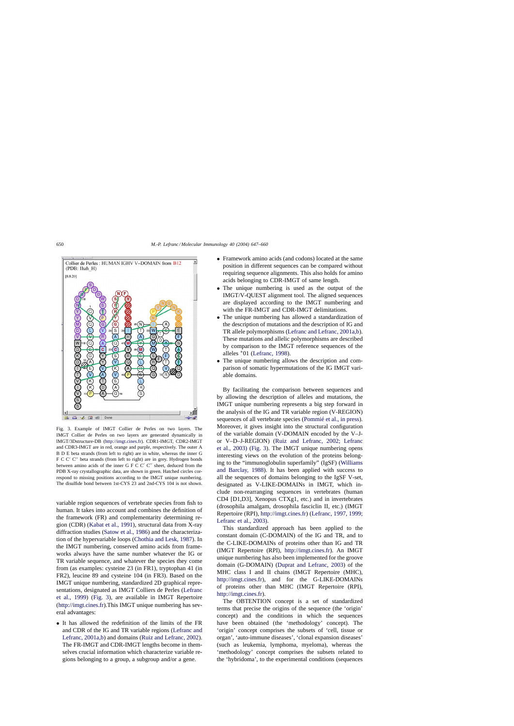<span id="page-3-0"></span>

Fig. 3. Example of IMGT Collier de Perles on two layers. The IMGT Collier de Perles on two layers are generated dynamically in lMGT/3Dstructure-DB [\(http://imgt.cines.fr\)](http://imgt.cines.fr). CDR1-IMGT, CDR2-IMGT and CDR3-IMGT are in red, orange and purple, respectively. The outer A B D E beta strands (from left to right) are in white, whereas the inner G F C C' C'' beta strands (from left to right) are in grey. Hydrogen bonds between amino acids of the inner G F C  $C'$   $C''$  sheet, deduced from the PDB X-ray crystallographic data, are shown in green. Hatched circles correspond to missing positions according to the IMGT unique numbering. The disulfide bond between 1st-CYS 23 and 2nd-CYS 104 is not shown.

variable region sequences of vertebrate species from fish to human. It takes into account and combines the definition of the framework (FR) and complementarity determining region (CDR) [\(Kabat et al., 1991\),](#page-12-0) structural data from X-ray diffraction studies ([Satow et al., 1986\)](#page-12-0) and the characterization of the hypervariable loops ([Chothia and Lesk, 1987\).](#page-11-0) In the IMGT numbering, conserved amino acids from frameworks always have the same number whatever the IG or TR variable sequence, and whatever the species they come from (as examples: cysteine 23 (in FR1), tryptophan 41 (in FR2), leucine 89 and cysteine 104 (in FR3). Based on the IMGT unique numbering, standardized 2D graphical representations, designated as IMGT Colliers de Perles ([Lefranc](#page-12-0) [et al., 1999\)](#page-12-0) (Fig. 3), are available in IMGT Repertoire ([http://imgt.cines.fr\)](http://imgt.cines.fr).This IMGT unique numbering has several advantages:

• It has allowed the redefinition of the limits of the FR and CDR of the IG and TR variable regions ([Lefranc and](#page-12-0) [Lefranc, 2001a,b\) a](#page-12-0)nd domains [\(Ruiz and Lefranc, 2002\).](#page-12-0) The FR-IMGT and CDR-IMGT lengths become in themselves crucial information which characterize variable regions belonging to a group, a subgroup and/or a gene.

- Framework amino acids (and codons) located at the same position in different sequences can be compared without requiring sequence alignments. This also holds for amino acids belonging to CDR-IMGT of same length.
- The unique numbering is used as the output of the IMGT/V-QUEST alignment tool. The aligned sequences are displayed according to the IMGT numbering and with the FR-IMGT and CDR-IMGT delimitations.
- The unique numbering has allowed a standardization of the description of mutations and the description of IG and TR allele polymorphisms ([Lefranc and Lefranc, 2001a,b\).](#page-12-0) These mutations and allelic polymorphisms are described by comparison to the IMGT reference sequences of the alleles ∗01 ([Lefranc, 1998\).](#page-12-0)
- The unique numbering allows the description and comparison of somatic hypermutations of the IG IMGT variable domains.

By facilitating the comparison between sequences and by allowing the description of alleles and mutations, the IMGT unique numbering represents a big step forward in the analysis of the IG and TR variable region (V-REGION) sequences of all vertebrate species [\(Pommié et al., in press\).](#page-12-0) Moreover, it gives insight into the structural configuration of the variable domain (V-DOMAIN encoded by the V–Jor V–D–J-REGION) [\(Ruiz and Lefranc, 2002; Lefran](#page-12-0)c [et al., 2003\)](#page-12-0) (Fig. 3). The IMGT unique numbering opens interesting views on the evolution of the proteins belonging to the "immunoglobulin superfamily" (IgSF) [\(Williams](#page-13-0) [and Barclay, 1988\)](#page-13-0). It has been applied with success to all the sequences of domains belonging to the IgSF V-set, designated as V-LIKE-DOMAINs in IMGT, which include non-rearranging sequences in vertebrates (human CD4 [D1,D3], Xenopus CTXg1, etc.) and in invertebrates (drosophila amalgam, drosophila fasciclin II, etc.) (IMGT Repertoire (RPI), [http://imgt.cines.fr\)](http://imgt.cines.fr) ([Lefranc, 1997, 1999;](#page-12-0) [Lefranc et al., 2003\).](#page-12-0)

This standardized approach has been applied to the constant domain (C-DOMAIN) of the IG and TR, and to the C-LIKE-DOMAINs of proteins other than IG and TR (IMGT Repertoire (RPI), [http://imgt.cines.fr\)](http://imgt.cines.fr). An IMGT unique numbering has also been implemented for the groove domain (G-DOMAIN) ([Duprat and Lefranc, 2003\)](#page-11-0) of the MHC class I and II chains (IMGT Repertoire (MHC), [http://imgt.cines.fr\)](http://imgt.cines.fr), and for the G-LIKE-DOMAINs of proteins other than MHC (IMGT Repertoire (RPI), [http://imgt.cines.fr\)](http://imgt.cines.fr).

The OBTENTION concept is a set of standardized terms that precise the origins of the sequence (the 'origin' concept) and the conditions in which the sequences have been obtained (the 'methodology' concept). The 'origin' concept comprises the subsets of 'cell, tissue or organ', 'auto-immune diseases', 'clonal expansion diseases' (such as leukemia, lymphoma, myeloma), whereas the 'methodology' concept comprises the subsets related to the 'hybridoma', to the experimental conditions (sequences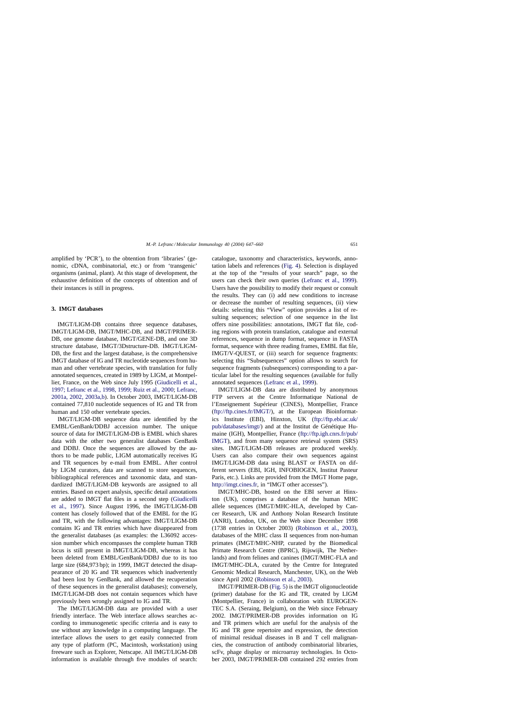amplified by 'PCR'), to the obtention from 'libraries' (genomic, cDNA, combinatorial, etc.) or from 'transgenic' organisms (animal, plant). At this stage of development, the exhaustive definition of the concepts of obtention and of their instances is still in progress.

# **3. IMGT databases**

IMGT/LIGM-DB contains three sequence databases, IMGT/LIGM-DB, IMGT/MHC-DB, and IMGT/PRIMER-DB, one genome database, IMGT/GENE-DB, and one 3D structure database, IMGT/3Dstructure-DB. IMGT/LIGM-DB, the first and the largest database, is the comprehensive IMGT database of IG and TR nucleotide sequences from human and other vertebrate species, with translation for fully annotated sequences, created in 1989 by LIGM, at Montpellier, France, on the Web since July 1995 [\(Giudicelli et al.,](#page-12-0) [1997; Lefranc et al., 1998, 1999; Ruiz et al., 2000;](#page-12-0) [Lefranc,](#page-12-0) [2001a, 2002, 2003a,b\).](#page-12-0) In October 2003, IMGT/LIGM-DB contained 77,810 nucleotide sequences of IG and TR from human and 150 other vertebrate species.

IMGT/LIGM-DB sequence data are identified by the EMBL/GenBank/DDBJ accession number. The unique source of data for IMGT/LIGM-DB is EMBL which shares data with the other two generalist databases GenBank and DDBJ. Once the sequences are allowed by the authors to be made public, LIGM automatically receives IG and TR sequences by e-mail from EMBL. After control by LIGM curators, data are scanned to store sequences, bibliographical references and taxonomic data, and standardized IMGT/LIGM-DB keywords are assigned to all entries. Based on expert analysis, specific detail annotations are added to IMGT flat files in a second step ([Giudicelli](#page-12-0) [et al., 1997\)](#page-12-0). Since August 1996, the IMGT/LIGM-DB content has closely followed that of the EMBL for the IG and TR, with the following advantages: IMGT/LIGM-DB contains IG and TR entries which have disappeared from the generalist databases (as examples: the L36092 accession number which encompasses the complete human TRB locus is still present in IMGT/LIGM-DB, whereas it has been deleted from EMBL/GenBank/DDBJ due to its too large size (684,973 bp); in 1999, IMGT detected the disappearance of 20 IG and TR sequences which inadvertently had been lost by GenBank, and allowed the recuperation of these sequences in the generalist databases); conversely, IMGT/LIGM-DB does not contain sequences which have previously been wrongly assigned to IG and TR.

The IMGT/LIGM-DB data are provided with a user friendly interface. The Web interface allows searches according to immunogenetic specific criteria and is easy to use without any knowledge in a computing language. The interface allows the users to get easily connected from any type of platform (PC, Macintosh, workstation) using freeware such as Explorer, Netscape. All IMGT/LIGM-DB information is available through five modules of search:

catalogue, taxonomy and characteristics, keywords, annotation labels and references ([Fig. 4\).](#page-5-0) Selection is displayed at the top of the "results of your search" page, so the users can check their own queries ([Lefranc et al., 1999\)](#page-12-0). Users have the possibility to modify their request or consult the results. They can (i) add new conditions to increase or decrease the number of resulting sequences, (ii) view details: selecting this "View" option provides a list of resulting sequences; selection of one sequence in the list offers nine possibilities: annotations, IMGT flat file, coding regions with protein translation, catalogue and external references, sequence in dump format, sequence in FASTA format, sequence with three reading frames, EMBL flat file, IMGT/V-QUEST, or (iii) search for sequence fragments: selecting this "Subsequences" option allows to search for sequence fragments (subsequences) corresponding to a particular label for the resulting sequences (available for fully annotated sequences ([Lefranc et al., 1999\).](#page-12-0)

IMGT/LIGM-DB data are distributed by anonymous FTP servers at the Centre Informatique National de l'Enseignement Supérieur (CINES), Montpellier, France (<ftp://ftp.cines.fr/IMGT/>), at the European Bioinformatics Institute (EBI), Hinxton, UK ([ftp://ftp.ebi.ac.uk/](ftp://ftp.ebi.ac.uk/pub/databases/imgt/) [pub/databases/imgt/](ftp://ftp.ebi.ac.uk/pub/databases/imgt/)) and at the Institut de Génétique Humaine (IGH), Montpellier, France [\(ftp://ftp.igh.cnrs.fr/pub/](ftp://ftp.igh.cnrs.fr/pub/IMGT) [IMGT\)](ftp://ftp.igh.cnrs.fr/pub/IMGT), and from many sequence retrieval system (SRS) sites. IMGT/LIGM-DB releases are produced weekly. Users can also compare their own sequences against IMGT/LIGM-DB data using BLAST or FASTA on different servers (EBI, IGH, INFOBIOGEN, Institut Pasteur Paris, etc.). Links are provided from the IMGT Home page, [http://imgt.cines.fr,](http://imgt.cines.fr) in "IMGT other accesses").

IMGT/MHC-DB, hosted on the EBI server at Hinxton (UK), comprises a database of the human MHC allele sequences (IMGT/MHC-HLA, developed by Cancer Research, UK and Anthony Nolan Research Institute (ANRI), London, UK, on the Web since December 1998 (1738 entries in October 2003) [\(Robinson et al., 2003](#page-12-0)), databases of the MHC class II sequences from non-human primates (IMGT/MHC-NHP, curated by the Biomedical Primate Research Centre (BPRC), Rijswijk, The Netherlands) and from felines and canines (IMGT/MHC-FLA and IMGT/MHC-DLA, curated by the Centre for Integrated Genomic Medical Research, Manchester, UK), on the Web since April 2002 [\(Robinson et al., 2003\).](#page-12-0)

IMGT/PRIMER-DB [\(Fig. 5\) i](#page-6-0)s the IMGT oligonucleotide (primer) database for the IG and TR, created by LIGM (Montpellier, France) in collaboration with EUROGEN-TEC S.A. (Seraing, Belgium), on the Web since February 2002. IMGT/PRIMER-DB provides information on IG and TR primers which are useful for the analysis of the IG and TR gene repertoire and expression, the detection of minimal residual diseases in B and T cell malignancies, the construction of antibody combinatorial libraries, scFv, phage display or microarray technologies. In October 2003, IMGT/PRIMER-DB contained 292 entries from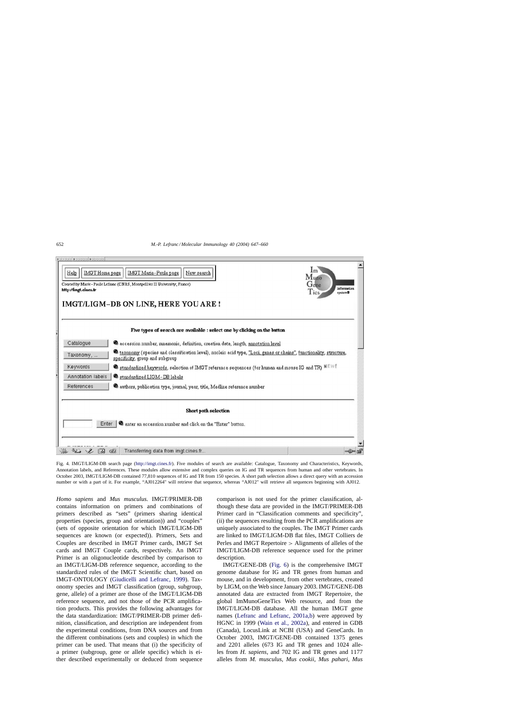<span id="page-5-0"></span>

Fig. 4. IMGT/LIGM-DB search page [\(http://imgt.cines.fr\)](http://imgt.cines.fr). Five modules of search are available: Catalogue, Taxonomy and Characteristics, Keywords, Annotation labels, and References. These modules allow extensive and complex queries on IG and TR sequences from human and other vertebrates. In October 2003, IMGT/LIGM-DB contained 77,810 sequences of IG and TR from 150 species. A short path selection allows a direct query with an accession number or with a part of it. For example, "AJ012264" will retrieve that sequence, whereas "AJ012" will retrieve all sequences beginning with AJ012.

*Homo sapiens* and *Mus musculus*. IMGT/PRIMER-DB contains information on primers and combinations of primers described as "sets" (primers sharing identical properties (species, group and orientation)) and "couples" (sets of opposite orientation for which IMGT/LIGM-DB sequences are known (or expected)). Primers, Sets and Couples are described in IMGT Primer cards, IMGT Set cards and IMGT Couple cards, respectively. An IMGT Primer is an oligonucleotide described by comparison to an IMGT/LIGM-DB reference sequence, according to the standardized rules of the IMGT Scientific chart, based on IMGT-ONTOLOGY ([Giudicelli and Lefranc, 1999\)](#page-12-0). Taxonomy species and IMGT classification (group, subgroup, gene, allele) of a primer are those of the IMGT/LIGM-DB reference sequence, and not those of the PCR amplification products. This provides the following advantages for the data standardization: IMGT/PRIMER-DB primer definition, classification, and description are independent from the experimental conditions, from DNA sources and from the different combinations (sets and couples) in which the primer can be used. That means that (i) the specificity of a primer (subgroup, gene or allele specific) which is either described experimentally or deduced from sequence

comparison is not used for the primer classification, although these data are provided in the IMGT/PRIMER-DB Primer card in "Classification comments and specificity", (ii) the sequences resulting from the PCR amplifications are uniquely associated to the couples. The IMGT Primer cards are linked to IMGT/LIGM-DB flat files, IMGT Colliers de Perles and IMGT Repertoire > Alignments of alleles of the IMGT/LIGM-DB reference sequence used for the primer description.

IMGT/GENE-DB ([Fig. 6\)](#page-7-0) is the comprehensive IMGT genome database for IG and TR genes from human and mouse, and in development, from other vertebrates, created by LIGM, on the Web since January 2003. IMGT/GENE-DB annotated data are extracted from IMGT Repertoire, the global ImMunoGeneTics Web resource, and from the IMGT/LIGM-DB database. All the human IMGT gene names ([Lefranc and Lefranc, 2001a,b\)](#page-12-0) were approved by HGNC in 1999 ([Wain et al., 2002a\)](#page-13-0), and entered in GDB (Canada), LocusLink at NCBI (USA) and GeneCards. In October 2003, IMGT/GENE-DB contained 1375 genes and 2201 alleles (673 IG and TR genes and 1024 alleles from *H. sapiens*, and 702 IG and TR genes and 1177 alleles from *M. musculus*, *Mus cookii*, *Mus pahari*, *Mus*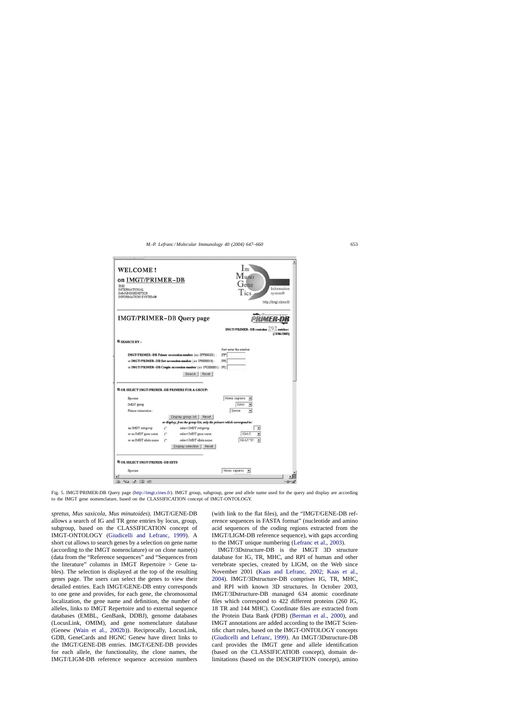<span id="page-6-0"></span>

Fig. 5. IMGT/PRIMER-DB Query page [\(http://imgt.cines.fr\)](http://imgt.cines.fr). IMGT group, subgroup, gene and allele name used for the query and display are according to the IMGT gene nomenclature, based on the CLASSIFICATION concept of IMGT-ONTOLOGY.

*spretus*, *Mus saxicola*, *Mus minutoides*). IMGT/GENE-DB allows a search of IG and TR gene entries by locus, group, subgroup, based on the CLASSIFICATION concept of IMGT-ONTOLOGY ([Giudicelli and Lefranc, 199](#page-12-0)9). A short cut allows to search genes by a selection on gene name (according to the IMGT nomenclature) or on clone name(s) (data from the "Reference sequences" and "Sequences from the literature" columns in IMGT Repertoire > Gene tables). The selection is displayed at the top of the resulting genes page. The users can select the genes to view their detailed entries. Each IMGT/GENE-DB entry corresponds to one gene and provides, for each gene, the chromosomal localization, the gene name and definition, the number of alleles, links to IMGT Repertoire and to external sequence databases (EMBL, GenBank, DDBJ), genome databases (LocusLink, OMIM), and gene nomenclature database (Genew [\(Wain et al., 2002b](#page-13-0))). Reciprocally, LocusLink, GDB, GeneCards and HGNC Genew have direct links to the IMGT/GENE-DB entries. IMGT/GENE-DB provides for each allele, the functionality, the clone names, the IMGT/LIGM-DB reference sequence accession numbers

(with link to the flat files), and the "IMGT/GENE-DB reference sequences in FASTA format" (nucleotide and amino acid sequences of the coding regions extracted from the IMGT/LIGM-DB reference sequence), with gaps according to the IMGT unique numbering [\(Lefranc et al., 2003\).](#page-12-0)

IMGT/3Dstructure-DB is the IMGT 3D structure database for IG, TR, MHC, and RPI of human and other vertebrate species, created by LIGM, on the Web since November 2001 [\(Kaas and Lefranc, 2002; Kaas et a](#page-12-0)l., [2004\).](#page-12-0) IMGT/3Dstructure-DB comprises IG, TR, MHC, and RPI with known 3D structures. In October 2003, IMGT/3Dstructure-DB managed 634 atomic coordinate files which correspond to 422 different proteins (260 IG, 18 TR and 144 MHC). Coordinate files are extracted from the Protein Data Bank (PDB) ([Berman et al., 2000\)](#page-11-0), and IMGT annotations are added according to the IMGT Scientific chart rules, based on the IMGT-ONTOLOGY concepts ([Giudicelli and Lefranc, 1999\)](#page-12-0). An IMGT/3Dstructure-DB card provides the IMGT gene and allele identification (based on the CLASSIFICATIOB concept), domain delimitations (based on the DESCRIPTION concept), amino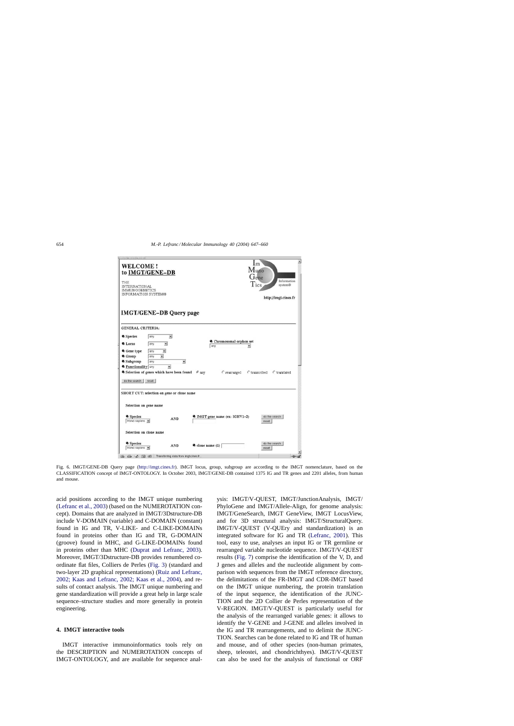<span id="page-7-0"></span>

| <b>• sunna Francia Fatas</b>                                                                                              |                                                                                  |
|---------------------------------------------------------------------------------------------------------------------------|----------------------------------------------------------------------------------|
| <b>WELCOME!</b><br>to IMGT/GENE-DB<br>THE<br><b>INTERNATIONAL</b><br><b>IMMUNOGENETICS</b><br>INFORMATION SYSTEM®         | $\mathop{\rm Im}%$<br>Muno<br>Gene<br>Information<br>Tics<br>system <sup>®</sup> |
| <b>IMGT/GENE-DB Query page</b>                                                                                            | http://imgt.cines.fr                                                             |
| <b>GENERAL CRITERIA:</b>                                                                                                  |                                                                                  |
| Species<br>any<br>$\mathbf{r}$<br><b>&amp;</b> Locus<br>$\mathbf{r}$<br>any                                               | <sup>4</sup> Chromosomal orphon set<br>any                                       |
| <b>Q</b> Gene type<br>any<br>$\mathbf{r}$<br><b>6</b> Group<br>$\overline{ }$<br>anv<br>Subgroup<br>$\overline{r}$<br>any |                                                                                  |
| <b>•</b> Functionality any<br>$\blacktriangledown$<br>Selection of genes which have been found F any                      | $\cap$ transcribed<br>C rearranged<br>C translated                               |
| do the search reset                                                                                                       |                                                                                  |
| SHORT CUT: selection on gene or clone name                                                                                |                                                                                  |
| Selection on gene name                                                                                                    |                                                                                  |
| Species<br>AND<br>Homo sapiens -                                                                                          | <b>@</b> IMGT gene name (ex: IGHV1-2)<br>do the search<br>reset                  |
| Selection on clone name                                                                                                   |                                                                                  |
| Species<br>AND<br>Homo sapiens -                                                                                          | do the search<br>$\bullet$ clone name (1) $\lceil$<br>reset                      |
| 四义国纪<br>Transferring data from imgt.cines.fr                                                                              | $-\Phi$                                                                          |

Fig. 6. IMGT/GENE-DB Query page [\(http://imgt.cines.fr\)](http://imgt.cines.fr). IMGT locus, group, subgroup are according to the IMGT nomenclature, based on the CLASSIFICATION concept of IMGT-ONTOLOGY. In October 2003, IMGT/GENE-DB contained 1375 IG and TR genes and 2201 alleles, from human and mouse.

acid positions according to the IMGT unique numbering ([Lefranc et al., 2003\) \(](#page-12-0)based on the NUMEROTATION concept). Domains that are analyzed in IMGT/3Dstructure-DB include V-DOMAIN (variable) and C-DOMAIN (constant) found in IG and TR, V-LIKE- and C-LIKE-DOMAINs found in proteins other than IG and TR, G-DOMAIN (groove) found in MHC, and G-LIKE-DOMAINs found in proteins other than MHC [\(Duprat and Lefranc, 2003\)](#page-11-0). Moreover, IMGT/3Dstructure-DB provides renumbered coordinate flat files, Colliers de Perles ([Fig. 3\)](#page-3-0) (standard and two-layer 2D graphical representations) ([Ruiz and Lefranc,](#page-12-0) [2002; Kaas and Lefranc, 2002; Kaas et al., 2004\)](#page-12-0), and results of contact analysis. The IMGT unique numbering and gene standardization will provide a great help in large scale sequence–structure studies and more generally in protein engineering.

#### **4. IMGT interactive tools**

IMGT interactive immunoinformatics tools rely on the DESCRIPTION and NUMEROTATION concepts of IMGT-ONTOLOGY, and are available for sequence analysis: IMGT/V-QUEST, IMGT/JunctionAnalysis, IMGT/ PhyloGene and IMGT/Allele-Align, for genome analysis: IMGT/GeneSearch, IMGT GeneView, IMGT LocusView, and for 3D structural analysis: IMGT/StructuralQuery. IMGT/V-QUEST (V-QUEry and standardization) is an integrated software for IG and TR ([Lefranc, 2001\).](#page-12-0) This tool, easy to use, analyses an input IG or TR germline or rearranged variable nucleotide sequence. IMGT/V-QUEST results ([Fig. 7\)](#page-8-0) comprise the identification of the V, D, and J genes and alleles and the nucleotide alignment by comparison with sequences from the IMGT reference directory, the delimitations of the FR-IMGT and CDR-IMGT based on the IMGT unique numbering, the protein translation of the input sequence, the identification of the JUNC-TION and the 2D Collier de Perles representation of the V-REGION. IMGT/V-QUEST is particularly useful for the analysis of the rearranged variable genes: it allows to identify the V-GENE and J-GENE and alleles involved in the IG and TR rearrangements, and to delimit the JUNC-TION. Searches can be done related to IG and TR of human and mouse, and of other species (non-human primates, sheep, teleostei, and chondrichthyes). IMGT/V-QUEST can also be used for the analysis of functional or ORF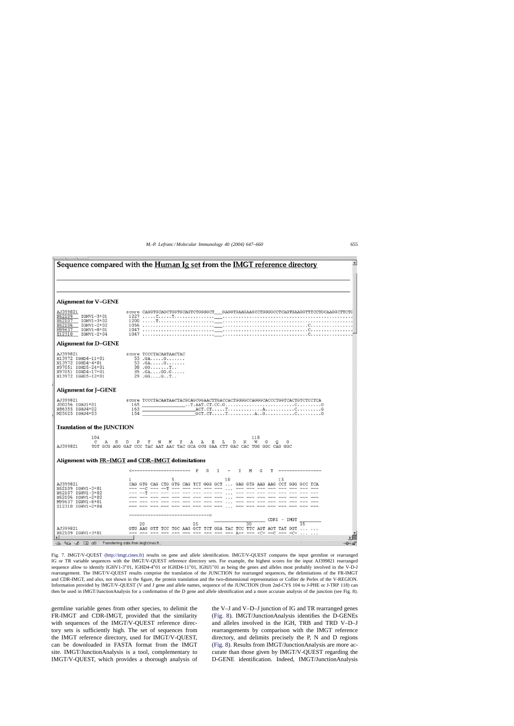<span id="page-8-0"></span>

| <b>Alignment for V-GENE</b><br>AJ399821<br>X62109<br>IGHV1-3*01<br>X62107<br>IGHV1-3*02<br>X62106<br>M99637 IGHV1-8*01<br>Z12310 IGHV1-2*04<br><b>Alignment for D-GENE</b><br>AJ399821<br>X13972 IGHD4-11*01<br>X13972 IGHD4-4*01<br>X97051 IGHD5-24*01<br>X97051 IGHD4-17*01<br>X13972 IGHD5-12*01<br><b>Alignment for J-GENE</b> | Sequence compared with the Human Ig set from the IMGT reference directory<br>score CAGGTGCAGCTGGTGCAGTCTGGGGCT GAGGTGAAGAAGCCTGGGGCCTCAGTGAAGGTTTCCTGCAAGGCTTCTG                                                                                                                                                                                                                                                                                                                                                                       |
|------------------------------------------------------------------------------------------------------------------------------------------------------------------------------------------------------------------------------------------------------------------------------------------------------------------------------------|----------------------------------------------------------------------------------------------------------------------------------------------------------------------------------------------------------------------------------------------------------------------------------------------------------------------------------------------------------------------------------------------------------------------------------------------------------------------------------------------------------------------------------------|
|                                                                                                                                                                                                                                                                                                                                    |                                                                                                                                                                                                                                                                                                                                                                                                                                                                                                                                        |
|                                                                                                                                                                                                                                                                                                                                    |                                                                                                                                                                                                                                                                                                                                                                                                                                                                                                                                        |
|                                                                                                                                                                                                                                                                                                                                    |                                                                                                                                                                                                                                                                                                                                                                                                                                                                                                                                        |
|                                                                                                                                                                                                                                                                                                                                    |                                                                                                                                                                                                                                                                                                                                                                                                                                                                                                                                        |
|                                                                                                                                                                                                                                                                                                                                    |                                                                                                                                                                                                                                                                                                                                                                                                                                                                                                                                        |
|                                                                                                                                                                                                                                                                                                                                    |                                                                                                                                                                                                                                                                                                                                                                                                                                                                                                                                        |
|                                                                                                                                                                                                                                                                                                                                    | score TCCCTACAATAACTAC<br>$53$ . $GA$ $G$<br>$53.$ $.$ GA $.$ $G$<br>$38. GG. \ldots . T.$<br>$35.$ $.$ GA $.$ GG. $G$<br>29.GGGT                                                                                                                                                                                                                                                                                                                                                                                                      |
|                                                                                                                                                                                                                                                                                                                                    |                                                                                                                                                                                                                                                                                                                                                                                                                                                                                                                                        |
| AJ399821<br>J00256 IGHJ1*01<br>X86355 IGHJ4*02<br>163<br>154<br>M25625 IGHJ4*03                                                                                                                                                                                                                                                    | score TCCCTACAATAACTACGCAGCGGAACTTGACCACTGGGGCCAGGGCACCCTGGTCACTGTCTCCTCA<br>$\overline{\texttt{GCT}}$ $\overline{\texttt{ACT}}$ $\overline{\texttt{GCT}}$ $\overline{\texttt{GCT}}$ $\overline{\texttt{GCT}}$ $\overline{\texttt{GCT}}$ $\overline{\texttt{GCT}}$ $\overline{\texttt{GCT}}$ $\overline{\texttt{GCT}}$ $\overline{\texttt{GCT}}$ $\overline{\texttt{GCT}}$ $\overline{\texttt{GCT}}$ $\overline{\texttt{GCT}}$ $\overline{\texttt{GCT}}$ $\overline{\texttt{GCT}}$ $\overline{\texttt{GCT}}$ $\overline{\texttt{GCT}}$ |
| <b>Translation of the JUNCTION</b>                                                                                                                                                                                                                                                                                                 |                                                                                                                                                                                                                                                                                                                                                                                                                                                                                                                                        |
| 104<br>C.<br>Α<br>R<br>AJ399821                                                                                                                                                                                                                                                                                                    | 118<br>D P Y N N Y A A E L D H W G<br>G<br>TGT GCG AGG GAT CCC TAC AAT AAC TAC GCA GCG GAA CTT GAC CAC TGG GGC CAG GGC                                                                                                                                                                                                                                                                                                                                                                                                                 |
| Alignment with FR-IMGT and CDR-IMGT delimitations                                                                                                                                                                                                                                                                                  |                                                                                                                                                                                                                                                                                                                                                                                                                                                                                                                                        |
|                                                                                                                                                                                                                                                                                                                                    | R<br>$1 - I$ M G<br><------------------------ F<br>T - ----------------                                                                                                                                                                                                                                                                                                                                                                                                                                                                |
| AJ399821<br>X62109 IGHV1-3*01<br>X62107 IGHV1-3*02<br>X62106 IGHV1-2*02<br>M99637 IGHV1-8*01<br>Z12310 IGHV1-2*04                                                                                                                                                                                                                  | 5<br>10<br>15<br>CAG GTG CAG CTG GTG CAG TCT GGG GCT  GAG GTG AAG AAG CCT GGG GCC TCA<br>were mang were many were mean mean were <sub>contr</sub> umed were were mean mean were mean<br>was well man concernations (man ), , , and are not are man was was man man<br>and and are the transfer of the same and the same of the same and the same and the the<br>who was also also introduced that the same $\frac{1}{2} \frac{1}{12}$ , which will not were noted that they were                                                       |
|                                                                                                                                                                                                                                                                                                                                    |                                                                                                                                                                                                                                                                                                                                                                                                                                                                                                                                        |
| AJ399821                                                                                                                                                                                                                                                                                                                           |                                                                                                                                                                                                                                                                                                                                                                                                                                                                                                                                        |
| X62109 IGHV1-3*01<br>$\left  \cdot \right $<br>第 四 2 国 2 Transferring data from imgt.cines.fr                                                                                                                                                                                                                                      | 30<br>25<br>20<br>GTG AAG GTT TCC TGC AAG GCT TCT GGA TAC TCC TTC AGT AGT TAT GGT                                                                                                                                                                                                                                                                                                                                                                                                                                                      |

Fig. 7. IMGT/V-QUEST [\(http://imgt.cines.fr](http://imgt.cines.fr)) results on gene and allele identification. IMGT/V-QUEST compares the input germline or rearranged IG or TR variable sequences with the IMGT/V-QUEST reference directory sets. For example, the highest scores for the input AJ399821 rearranged sequence allow to identify IGHV1-3\*01, IGHD4-4\*01 or IGHD4-11\*01, IGHJ1\*01 as being the genes and alleles most probably involved in the V-D-J rearrangement. The IMGT/V-QUEST results comprise the translation of the JUNCTION for rearranged sequences, the delimitations of the FR-IMGT and CDR-IMGT, and also, not shown in the figure, the protein translation and the two-dimensional representation or Collier de Perles of the V-REGION. Information provided by lMGT/V-QUEST (V and J gene and allele names, sequence of the JUNCTION (from 2nd-CYS 104 to J-PHE or J-TRP 118) can then be used in IMGT/JunctionAnalysis for a confirmation of the D gene and allele identification and a more accurate analysis of the junction (see Fig. 8).

germline variable genes from other species, to delimit the FR-IMGT and CDR-IMGT, provided that the similarity with sequences of the IMGT/V-QUEST reference directory sets is sufficiently high. The set of sequences from the IMGT reference directory, used for IMGT/V-QUEST, can be downloaded in FASTA format from the IMGT site. IMGT/JunctionAnalysis is a tool, complementary to IMGT/V-QUEST, which provides a thorough analysis of the V–J and V–D–J junction of IG and TR rearranged genes ([Fig. 8\)](#page-9-0). IMGT/JunctionAnalysis identifies the D-GENEs and alleles involved in the IGH, TRB and TRD V–D–J rearrangements by comparison with the IMGT reference directory, and delimits precisely the P, N and D regions ([Fig. 8\).](#page-9-0) Results from IMGT/JunctionAnalysis are more accurate than those given by IMGT/V-QUEST regarding the D-GENE identification. Indeed, IMGT/JunctionAnalysis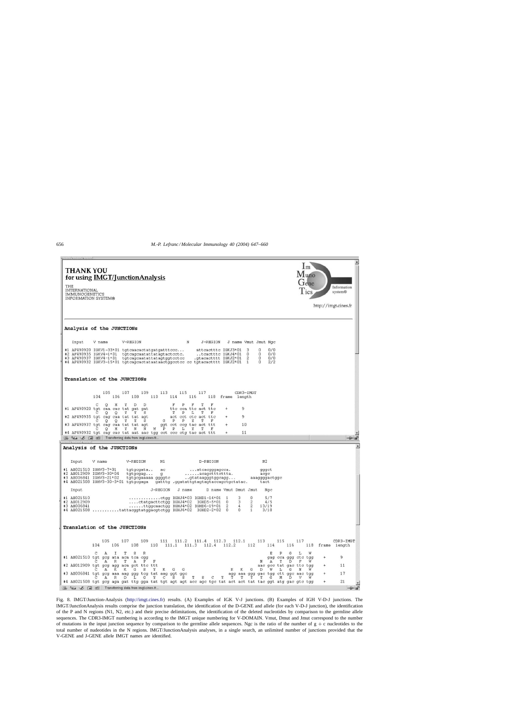<span id="page-9-0"></span>

Fig. 8. lMGT/Junction-Analysis [\(http://imgt.cines.fr\)](http://imgt.cines.fr) results. (A) Examples of IGK V-J junctions. (B) Examples of IGH V-D-J junctions. The lMGT/JunctlonAnalysis results comprise the junction translation, the identification of the D-GENE and allele (for each V-D-J junction), the identification of the P and N regions (N1, N2, etc.) and their precise delimitations, the identification of the deleted nucleotides by comparison to the germline allele sequences. The CDR3-IMGT numbering is according to the IMGT unique numbering for V-DOMAIN. Vmut, Dmut and Jmut correspond to the number of mutations in the input junction sequence by comparison to the germline allele sequences. Ngc is the ratio of the number of  $g + c$  nucleotides to the total number of nudeotides in the N regions. lMGT/JunctionAnalysis analyses, in a single search, an unlimited number of junctions provided that the V-GENE and J-GENE allele IMGT names are identified.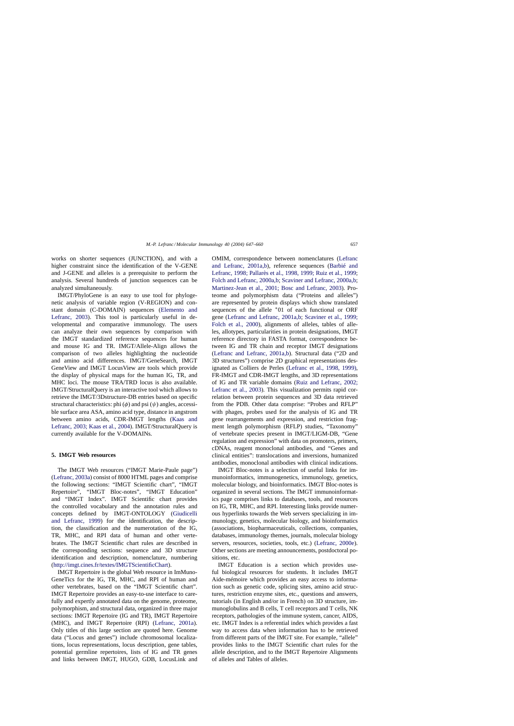works on shorter sequences (JUNCTION), and with a higher constraint since the identification of the V-GENE and J-GENE and alleles is a prerequisite to perform the analysis. Several hundreds of junction sequences can be analyzed simultaneously.

IMGT/PhyloGene is an easy to use tool for phylogenetic analysis of variable region (V-REGION) and constant domain (C-DOMAIN) sequences ([Elemento and](#page-12-0) [Lefranc, 2003\)](#page-12-0). This tool is particularly useful in developmental and comparative immunology. The users can analyze their own sequences by comparison with the IMGT standardized reference sequences for human and mouse IG and TR. IMGT/Allele-Align allows the comparison of two alleles highlighting the nucleotide and amino acid differences. IMGT/GeneSearch, IMGT GeneView and IMGT LocusView are tools which provide the display of physical maps for the human IG, TR, and MHC loci. The mouse TRA/TRD locus is also available. IMGT/StructuralQuery is an interactive tool which allows to retrieve the IMGT/3Dstructure-DB entries based on specific structural characteristics: phi  $(\phi)$  and psi  $(\psi)$  angles, accessible surface area ASA, amino acid type, distance in angstrom between amino acids, CDR-IMGT lengths [\(Kaas and](#page-12-0) [Lefranc, 2003; Kaas et al., 2004\).](#page-12-0) IMGT/StructuralQuery is currently available for the V-DOMAINs.

# **5. IMGT Web resources**

The IMGT Web resources ("IMGT Marie-Paule page") ([Lefranc, 2003a\)](#page-12-0) consist of 8000 HTML pages and comprise the following sections: "IMGT Scientific chart", "IMGT Repertoire", "IMGT Bloc-notes", "IMGT Education" and "IMGT Index". IMGT Scientific chart provides the controlled vocabulary and the annotation rules and concepts defined by IMGT-ONTOLOGY ([Giudicelli](#page-12-0) [and Lefranc, 1999](#page-12-0)) for the identification, the description, the classification and the numerotation of the IG, TR, MHC, and RPI data of human and other vertebrates. The IMGT Scientific chart rules are described in the corresponding sections: sequence and 3D structure identification and description, nomenclature, numbering ([http://imgt.cines.fr/textes/IMGTScientificChart\)](http://imgt.cines.fr/textes/IMGTScientificChart).

IMGT Repertoire is the global Web resource in ImMuno-GeneTics for the IG, TR, MHC, and RPI of human and other vertebrates, based on the "IMGT Scientific chart". IMGT Repertoire provides an easy-to-use interface to carefully and expertly annotated data on the genome, proteome, polymorphism, and structural data, organized in three major sections: IMGT Repertoire (IG and TR), IMGT Repertoire (MHC), and IMGT Repertoire (RPI) ([Lefranc, 2001a\)](#page-12-0). Only titles of this large section are quoted here. Genome data ("Locus and genes") include chromosomal localizations, locus representations, locus description, gene tables, potential germline repertoires, lists of IG and TR genes and links between IMGT, HUGO, GDB, LocusLink and OMIM, correspondence between nomenclatures [\(Lefranc](#page-12-0) [and Lefranc, 2001a,b\)](#page-12-0), reference sequences [\(Barbié and](#page-11-0) [Lefranc, 1998; Pallarès et al., 1998, 1999; Ruiz et al., 1999;](#page-11-0) [Folch and Lefranc, 2000a,b;](#page-12-0) [Scaviner and Lefranc, 2000a,b;](#page-13-0) [Martinez-Jean et al., 2001; Bosc and Lefranc, 2003\)](#page-12-0). Proteome and polymorphism data ("Proteins and alleles") are represented by protein displays which show translated sequences of the allele \*01 of each functional or ORF gene ([Lefranc and Lefranc, 2001a,b;](#page-12-0) [Scaviner et al., 1999;](#page-13-0) [Folch et al., 2000](#page-13-0)), alignments of alleles, tables of alleles, allotypes, particularities in protein designations, IMGT reference directory in FASTA format, correspondence between IG and TR chain and receptor IMGT designations ([Lefranc and Lefranc, 2001a,b\)](#page-12-0). Structural data ("2D and 3D structures") comprise 2D graphical representations designated as Colliers de Perles ([Lefranc et al., 1998, 1999\),](#page-12-0) FR-IMGT and CDR-IMGT lengths, and 3D representations of IG and TR variable domains [\(Ruiz and Lefranc, 2002;](#page-12-0) [Lefranc et al., 2003\).](#page-12-0) This visualization permits rapid correlation between protein sequences and 3D data retrieved from the PDB. Other data comprise: "Probes and RFLP" with phages, probes used for the analysis of IG and TR gene rearrangements and expression, and restriction fragment length polymorphism (RFLP) studies, "Taxonomy" of vertebrate species present in IMGT/LIGM-DB, "Gene regulation and expression" with data on promoters, primers, cDNAs, reagent monoclonal antibodies, and "Genes and clinical entities": translocations and inversions, humanized antibodies, monoclonal antibodies with clinical indications.

IMGT Bloc-notes is a selection of useful links for immunoinformatics, immunogenetics, immunology, genetics, molecular biology, and bioinformatics. IMGT Bloc-notes is organized in several sections. The IMGT immunoinformatics page comprises links to databases, tools, and resources on IG, TR, MHC, and RPI. Interesting links provide numerous hyperlinks towards the Web servers specializing in immunology, genetics, molecular biology, and bioinformatics (associations, biopharmaceuticals, collections, companies, databases, immunology themes, journals, molecular biology servers, resources, societies, tools, etc.) ([Lefranc, 2000e\).](#page-12-0) Other sections are meeting announcements, postdoctoral positions, etc.

IMGT Education is a section which provides useful biological resources for students. It includes IMGT Aide-mémoire which provides an easy access to information such as genetic code, splicing sites, amino acid structures, restriction enzyme sites, etc., questions and answers, tutorials (in English and/or in French) on 3D structure, immunoglobulins and B cells, T cell receptors and T cells, NK receptors, pathologies of the immune system, cancer, AIDS, etc. IMGT Index is a referential index which provides a fast way to access data when information has to be retrieved from different parts of the IMGT site. For example, "allele" provides links to the IMGT Scientific chart rules for the allele description, and to the IMGT Repertoire Alignments of alleles and Tables of alleles.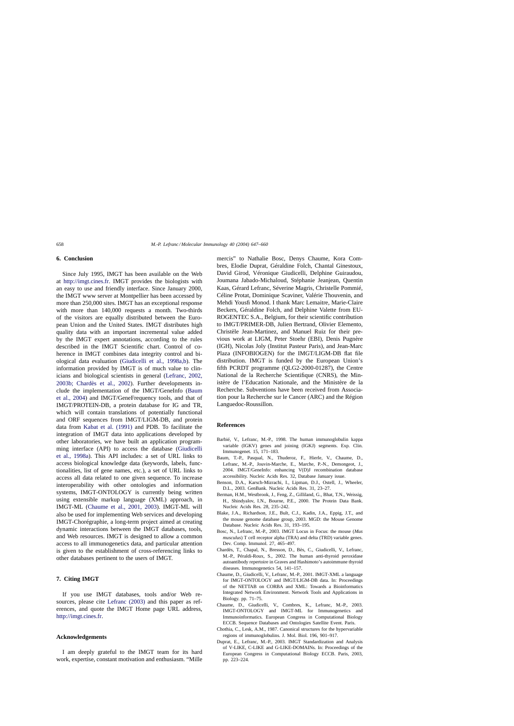#### <span id="page-11-0"></span>**6. Conclusion**

Since July 1995, IMGT has been available on the Web at <http://imgt.cines.fr>. IMGT provides the biologists with an easy to use and friendly interface. Since January 2000, the IMGT www server at Montpellier has been accessed by more than 250,000 sites. IMGT has an exceptional response with more than 140,000 requests a month. Two-thirds of the visitors are equally distributed between the European Union and the United States. IMGT distributes high quality data with an important incremental value added by the IMGT expert annotations, according to the rules described in the IMGT Scientific chart. Control of coherence in IMGT combines data integrity control and biological data evaluation ([Giudicelli et al., 1998a,b](#page-12-0)). The information provided by IMGT is of much value to clinicians and biological scientists in general ([Lefranc, 2002,](#page-12-0) [2003b; Chardès et al., 2002](#page-12-0)). Further developments include the implementation of the IMGT/GeneInfo (Baum et al., 2004) and IMGT/GeneFrequency tools, and that of IMGT/PROTEIN-DB, a protein database for IG and TR, which will contain translations of potentially functional and ORF sequences from IMGT/LIGM-DB, and protein data from [Kabat et al. \(1991\)](#page-12-0) and PDB. To facilitate the integration of IMGT data into applications developed by other laboratories, we have built an application programming interface (API) to access the database ([Giudicelli](#page-12-0) [et al., 1998a\)](#page-12-0). This API includes: a set of URL links to access biological knowledge data (keywords, labels, functionalities, list of gene names, etc.), a set of URL links to access all data related to one given sequence. To increase interoperability with other ontologies and information systems, IMGT-ONTOLOGY is currently being written using extensible markup language (XML) approach, in IMGT-ML (Chaume et al., 2001, 2003). IMGT-ML wilI also be used for implementing Web services and developing IMGT-Chorégraphie, a long-term project aimed at creating dynamic interactions between the IMGT databases, tools, and Web resources. IMGT is designed to allow a common access to all immunogenetics data, and particular attention is given to the establishment of cross-referencing links to other databases pertinent to the users of IMGT.

# **7. Citing IMGT**

If you use IMGT databases, tools and/or Web resources, please cite [Lefranc \(2003\)](#page-12-0) and this paper as references, and quote the IMGT Home page URL address, [http://imgt.cines.fr.](http://imgt.cines.fr)

#### **Acknowledgements**

I am deeply grateful to the IMGT team for its hard work, expertise, constant motivation and enthusiasm. "Mille

mercis" to Nathalie Bosc, Denys Chaume, Kora Combres, Elodie Duprat, Géraldine Folch, Chantal Ginestoux, David Girod, Véronique Giudicelli, Delphine Guiraudou, Joumana Jabado-Michaloud, Stéphanie Jeanjean, Quentin Kaas, Gérard Lefranc, Séverine Magris, Christelle Pommié, Céline Protat, Dominique Scaviner, Valérie Thouvenin, and Mehdi Yousfi Monod. I thank Marc Lemaitre, Marie-Claire Beckers, Géraldine Folch, and Delphine Valette from EU-ROGENTEC S.A., Belgium, for their scientific contribution to IMGT/PRIMER-DB, Julien Bertrand, Olivier Elemento, Christèle Jean-Martinez, and Manuel Ruiz for their previous work at LIGM, Peter Stoehr (EBI), Denis Pugnère (IGH), Nicolas Joly (Institut Pasteur Paris), and Jean-Marc Plaza (INFOBIOGEN) for the IMGT/LIGM-DB flat file distribution. IMGT is funded by the European Union's fifth PCRDT programme (QLG2-2000-01287), the Centre National de la Recherche Scientifique (CNRS), the Ministère de l'Education Nationale, and the Ministère de la Recherche. Subventions have been received from Association pour la Recherche sur le Cancer (ARC) and the Région Languedoc-Roussillon.

## **References**

- Barbié, V., Lefranc, M.-P., 1998. The human immunoglobulin kappa variable (IGKV) genes and joining (IGKJ) segments. Exp. Clin. Immunogenet. 15, 171–183.
- Baum, T.-P., Pasqual, N., Thuderoz, F., Hierle, V., Chaume, D., Lefranc, M.-P., Jouvin-Marche, E., Marche, P.-N., Demongeot, J., 2004. IMGT/GeneInfo: enhancing V(D)J recombination database accessibility. Nucleic Acids Res. 32, Database January issue.
- Benson, D.A., Karsch-Mizrachi, I., Lipman, D.J., Ostell, J., Wheeler, D.L., 2003. GenBank. Nucleic Acids Res. 31, 23–27.
- Berman, H.M., Westbrook, J., Feng, Z., Gilliland, G., Bhat, T.N., Weissig, H., Shindyalov, I.N., Bourne, P.E., 2000. The Protein Data Bank. Nucleic Acids Res. 28, 235–242.
- Blake, J.A., Richardson, J.E., Bult, C.J., Kadin, J.A., Eppig, J.T., and the mouse genome database group, 2003. MGD: the Mouse Genome Database. Nucleic Acids Res. 31, 193–195.
- Bosc, N., Lefranc, M.-P., 2003. IMGT Locus in Focus: the mouse (*Mus musculus*) T cell receptor alpha (TRA) and delta (TRD) variable genes. Dev. Comp. Immunol. 27, 465–497.
- Chardès, T., Chapal, N., Bresson, D., Bès, C., Giudicelli, V., Lefranc, M.-P., Péraldi-Roux, S., 2002. The human anti-thyroid peroxidase autoantibody repertoire in Graves and Hashimoto's autoimmune thyroid diseases. Immunogenetics 54, 141–157.
- Chaume, D., Giudicelli, V., Lefranc, M.-P., 2001. IMGT-XML a language for IMGT-ONTOLOGY and IMGT/LIGM-DB data. In: Proceedings of the NETTAB on CORBA and XML: Towards a Bioinformatics Integrated Network Environment. Network Tools and Applications in Biology. pp. 71–75.
- Chaume, D., Giudicelli, V., Combres, K., Lefranc, M.-P., 2003. IMGT-ONTOLOGY and IMGT-ML for Immunogenetics and Immunoinformatics. European Congress in Computational Biology ECCB. Sequence Databases and Ontologies Satellite Event. Paris.
- Chothia, C., Lesk, A.M., 1987. Canonical structures for the hypervariable regions of immunoglobulins. J. Mol. Biol. 196, 901–917.
- Duprat, E., Lefranc, M.-P., 2003. IMGT Standardization and Analysis of V-LIKE, C-LIKE and G-LIKE-DOMAINs. In: Proceedings of the European Congress in Computational Biology ECCB. Paris, 2003, pp. 223–224.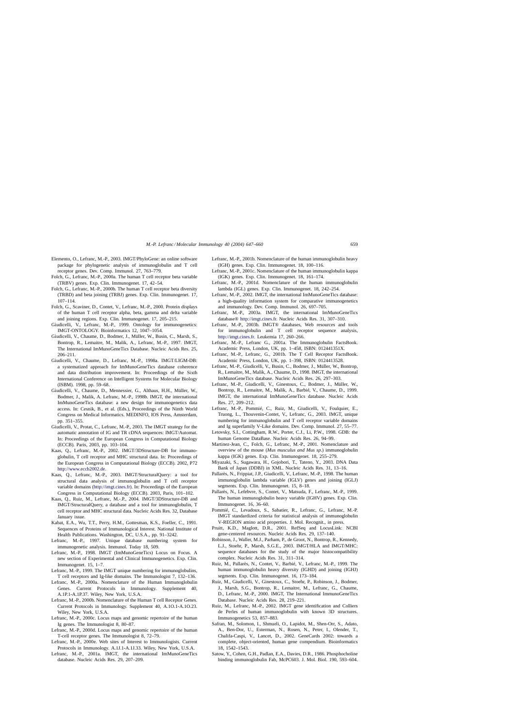- <span id="page-12-0"></span>Elemento, O., Lefranc, M.-P., 2003. IMGT/PhyloGene: an online software package for phylogenetic analysis of immunoglobulin and T cell receptor genes. Dev. Comp. Immunol. 27, 763–779.
- Folch, G., Lefranc, M.-P., 2000a. The human T cell receptor beta variable (TRBV) genes. Exp. Clin. Immunogenet. 17, 42–54.
- Folch, G., Lefranc, M.-P., 2000b. The human T cell receptor beta diversity (TRBD) and beta joining (TRBJ) genes. Exp. Clin. Immunogenet. 17, 107–114.
- Folch, G., Scaviner, D., Contet, V., Lefranc, M.-P., 2000. Protein displays of the human T cell receptor alpha, beta, gamma and delta variable and joining regions. Exp. Clin. Immunogenet. 17, 205–215.
- Giudicelli, V., Lefranc, M.-P., 1999. Ontology for immunogenetics: IMGT-ONTOLOGY. Bioinformatics 12, 1047–1054.
- Giudicelli, V., Chaume, D., Bodmer, J., Müller, W., Busin, C., Marsh, S., Bontrop, R., Lemaitre, M., Malik, A., Lefranc, M.-P., 1997. IMGT, The International ImMunoGeneTics Database. Nucleic Acids Res. 25, 206–211.
- Giudicelli, V., Chaume, D., Lefranc, M.-P., 1998a. IMGT/LIGM-DB: a systematized approach for ImMunoGeneTics database coherence and data distribution improvement. In: Proceedings of the Sixth International Conference on Intelligent Systems for Molecular Biology (ISBM). 1998, pp. 59–68.
- Giudicelli, V., Chaume, D., Mennessier, G., Althaus, H.H., Müller, W., Bodmer, J., Malik, A. Lefranc, M.-P., 1998b. IMGT, the international ImMunoGeneTics database: a new design for immunogenetics data access. In: Cesnik, B., et al. (Eds.), Proceedings of the Ninth World Congress on Medical Informatics. MEDINFO, IOS Press, Amsterdam, pp. 351–355.
- Giudicelli, V., Protat, C., Lefranc, M.-P., 2003. The IMGT strategy for the automatic annotation of IG and TR cDNA sequences: IMGT/Automat. In: Proceedings of the European Congress in Computational Biology (ECCB). Paris, 2003, pp. 103–104.
- Kaas, Q., Lefranc, M.-P., 2002. IMGT/3DStructure-DB for immunoglobulin, T cell receptor and MHC structural data. In: Proceedings of the European Congress in Computational Biology (ECCB). 2002, P72 <http://www.eccb2002.de>.
- Kaas, Q., Lefranc, M.-P., 2003. IMGT/StructuralQuery: a tool for structural data analysis of immunoglobulin and T cell receptor variable domains (<http://imgt.cines.fr>). In: Proceedings of the European Congress in Computational Biology (ECCB). 2003, Paris, 101–102.
- Kaas, Q., Ruiz, M., Lefranc, M.-.P., 2004. IMGT/3DStructure-DB and IMGT/StructuralQuery, a database and a tool for immunoglobulin, T cell receptor and MHC structural data. Nucleic Acids Res. 32, Database January issue.
- Kabat, E.A., Wu, T.T., Perry, H.M., Gottesman, K.S., Foeller, C., 1991. Sequences of Proteins of Immunological Interest. National Institute of Health Publications. Washington, DC, U.S.A., pp. 91–3242.
- Lefranc, M.-P., 1997. Unique database numbering system for immunogenetic analysis. Immunol. Today 18, 509.
- Lefranc, M.-P., 1998. IMGT (ImMunoGeneTics) Locus on Focus. A new section of Experimental and Clinical Immunogenetics. Exp. Clin. Immunogenet. 15, 1–7.
- Lefranc, M.-P., 1999. The IMGT unique numbering for immunoglobulins, T cell receptors and Ig-like domains. The Immunologist 7, 132–136.
- Lefranc, M.-P., 2000a. Nomenclature of the Human Immunoglobulin Genes. Current Protocols in Immunology. Supplement 40, A.1P.1-A.1P.37. Wiley, New York, U.S.A.
- Lefranc, M.-P., 2000b. Nomenclature of the Human T cell Receptor Genes. Current Protocols in Immunology. Supplement 40, A.1O.1-A.1O.23. Wiley, New York, U.S.A.
- Lefranc, M.-P., 2000c. Locus maps and genomic repertoire of the human Ig genes. The Immunologist 8, 80–87.
- Lefranc, M.-P., 2000d. Locus maps and genomic repertoire of the human T-cell receptor genes. The Immunologist 8, 72–79.
- Lefranc, M.-P., 2000e. Web sites of Interest to Immunologists. Current Protocols in Immunology. A.1J.1-A.1J.33. Wiley, New York, U.S.A.
- Lefranc, M.-P., 2001a. IMGT, the international ImMunoGeneTics database. Nucleic Acids Res. 29, 207–209.
- Lefranc, M.-P., 2001b. Nomenclature of the human immunoglobulin heavy (IGH) genes. Exp. Clin. Immunogenet. 18, 100–116.
- Lefranc, M.-P., 2001c. Nomenclature of the human immunoglobulin kappa (IGK) genes. Exp. Clin. Immunogenet. 18, 161–174.
- Lefranc, M.-P., 2001d. Nomenclature of the human immunoglobulin lambda (IGL) genes. Exp. Clin. Immunogenet. 18, 242–254.
- Lefranc, M.-P., 2002. IMGT, the international ImMunoGeneTics database: a high-quality information system for comparative immunogenetics and immunology. Dev. Comp. Immunol. 26, 697–705.
- Lefranc, M.-P., 2003a. IMGT, the international ImMunoGeneTics database® <http://imgt.cines.fr.> Nucleic Acids Res. 31, 307–310.
- Lefranc, M.-P., 2003b. IMGT® databases, Web resources and tools for immunoglobulin and T cell receptor sequence analysis, [http://imgt.cines.fr.](http://imgt.cines.fr) Leukemia 17, 260–266.
- Lefranc, M.-P., Lefranc G., 2001a. The Immunoglobulin FactsBook. Academic Press, London, UK, pp. 1–458, ISBN: 012441351X.
- Lefranc, M.-P., Lefranc, G., 2001b. The T Cell Receptor FactsBook. Academic Press, London, UK, pp. 1–398, ISBN: 0124413528.
- Lefranc, M.-P., Giudicelli, V., Busin, C., Bodmer, J., Müller, W., Bontrop, R., Lemaitre, M., Malik, A., Chaume, D., 1998. IMGT, the international ImMunoGeneTics database. Nucleic Acids Res. 26, 297–303.
- Lefranc, M.-P., Giudicelli, V., Ginestoux, C., Bodmer, J., Müller, W., Bontrop, R., Lemaitre, M., Malik, A., Barbié, V., Chaume, D., 1999. IMGT, the international ImMunoGeneTics database. Nucleic Acids Res. 27, 209–212.
- Lefranc, M.-P., Pommié, C., Ruiz, M., Giudicelli, V., Foulquier, E., Truong, L., Thouvenin-Contet, V., Lefranc, G., 2003. IMGT, unique numbering for immunoglobulin and T cell receptor variable domains and Ig superfamily V-Like domains. Dev. Comp. Immunol. 27, 55–77.
- Letovsky, S.I., Cottingham, R.W., Porter, C.J., Li, P.W., 1998. GDB: the human Genome DataBase. Nucleic Acids Res. 26, 94–99.
- Martinez-Jean, C., Folch, G., Lefranc, M.-P., 2001. Nomenclature and overview of the mouse (*Mus musculus and Mus sp*.) immunoglobulin kappa (IGK) genes. Exp. Clin. Immunogenet. 18, 255–279.
- Miyazaki, S., Sugawara, H., Gojobori, T., Tateno, Y., 2003. DNA Data Bank of Japan (DDBJ) in XML. Nucleic Acids Res. 31, 13–16.
- Pallarès, N., Frippiat, J.P., Giudicelli, V., Lefranc, M.-P., 1998. The human immunoglobulin lambda variable (IGLV) genes and joining (IGLJ) segments. Exp. Clin. Immunogenet. 15, 8–18.
- Pallarès, N., Lefebvre, S., Contet, V., Matsuda, F., Lefranc, M.-P., 1999. The human immunoglobulin heavy variable (IGHV) genes. Exp. Clin. Immunogenet. 16, 36–60.
- Pommié, C., Levadoux, S., Sabatier, R., Lefranc, G., Lefranc, M.-P. IMGT standardized criteria for statistical analysis of immunoglobulin V-REGION amino acid properties. J. Mol. Recognit., in press.
- Pruitt, K.D., Maglott, D.R., 2001. RefSeq and LocusLink: NCBI gene-centered resources. Nucleic Acids Res. 29, 137–140.
- Robinson, J., Waller, M.J., Parham, P., de Groot, N., Bontrop, R., Kennedy, L.J., Stoehr, P., Marsh, S.G.E., 2003. IMGT/HLA and IMGT/MHC: sequence databases for the study of the major histocompatibility complex. Nucleic Acids Res. 31, 311–314.
- Ruiz, M., Pallarès, N., Contet, V., Barbié, V., Lefranc, M.-P., 1999. The human immunoglobulin heavy diversity (IGHD) and joining (IGHJ) segments. Exp. Clin. Immunogenet. 16, 173–184.
- Ruiz, M., Giudicelli, V., Ginestoux, C., Stoehr, P., Robinson, J., Bodmer, J., Marsh, S.G., Bontrop, R., Lemaitre, M., Lefranc, G., Chaume, D., Lefranc, M.-P., 2000. IMGT, The International ImmunoGeneTics Database. Nucleic Acids Res. 28, 219–221.
- Ruiz, M., Lefranc, M.-P., 2002. IMGT gene identification and Colliers de Perles of human immunoglobulin with known 3D structures. Immunogenetics 53, 857–883.
- Safran, M., Solomon, I., Shmueli, O., Lapidot, M., Shen-Orr, S., Adato, A., Ben-Dor, U., Esterman, N., Rosen, N., Peter, I., Olender, T., Chalifa-Caspi, V., Lancet, D., 2002. GeneCards 2002: towards a complete, object-oriented, human gene compendium. Bioinformatics 18, 1542–1543.
- Satow, Y., Cohen, G.H., Padlan, E.A., Davies, D.R., 1986. Phosphocholine binding immunoglobulin Fab, McPC603. J. Mol. Biol. 190, 593–604.